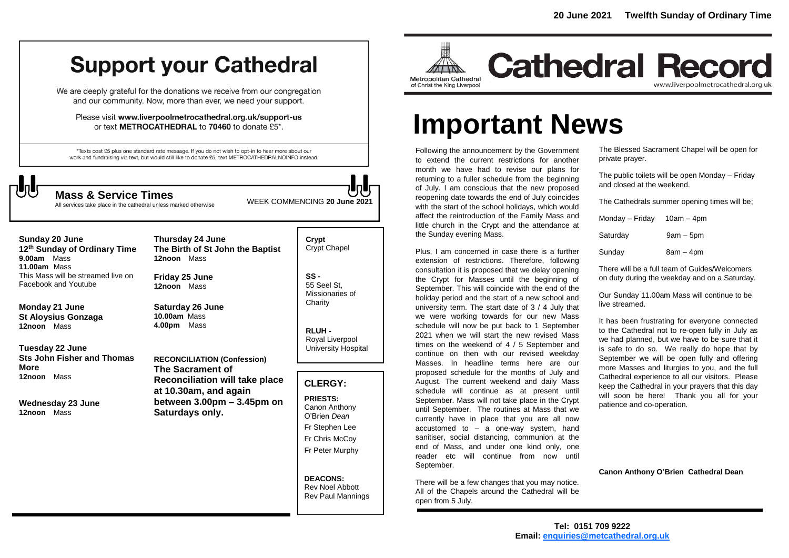## **Support your Cathedral**

We are deeply grateful for the donations we receive from our congregation and our community. Now, more than ever, we need your support.

Please visit www.liverpoolmetrocathedral.org.uk/support-us or text METROCATHEDRAL to 70460 to donate £5\*.

\*Texts cost £5 plus one standard rate message. If you do not wish to opt-in to hear more about our work and fundraising via text, but would still like to donate £5, text METROCATHEDRALNOINFO instead.



All services take place in the cathedral unless marked otherwise

WEEK COMMENCING **<sup>20</sup> June <sup>2021</sup> Mass & Service Times**

| Sunday 20 June<br>12 <sup>th</sup> Sunday of Ordinary Time<br>9.00am<br>Mass<br>11.00am Mass | Thursday 24 June<br>The Birth of St John the Baptist<br>12noon Mass | Crypt<br>Crypt Chapel                                                 |
|----------------------------------------------------------------------------------------------|---------------------------------------------------------------------|-----------------------------------------------------------------------|
| This Mass will be streamed live on<br>Facebook and Youtube                                   | Friday 25 June<br>12noon Mass                                       | $SS -$<br>55 Seel St.<br>Missionaries of                              |
| Monday 21 June<br>St Aloysius Gonzaga                                                        | <b>Saturday 26 June</b><br>10.00am Mass                             | Charity                                                               |
| 12noon Mass<br>Tuesday 22 June                                                               | Mass<br>4.00pm                                                      | RLUH-<br>Royal Liverpool<br>University Hospital                       |
| Sts John Fisher and Thomas                                                                   | <b>RECONCILIATION (Confession)</b>                                  |                                                                       |
| More                                                                                         | The Sacrament of                                                    |                                                                       |
| Mass<br>12noon                                                                               | <b>Reconciliation will take place</b><br>at 10.30am, and again      | <b>CLERGY:</b>                                                        |
| Wednesday 23 June<br>12noon Mass                                                             | between $3.00 \text{pm} - 3.45 \text{pm}$ on<br>Saturdays only.     | <b>PRIESTS:</b><br>Canon Anthony<br>O'Brien Dean                      |
|                                                                                              |                                                                     | Fr Stephen Lee                                                        |
|                                                                                              |                                                                     | Fr Chris McCoy                                                        |
|                                                                                              |                                                                     | Fr Peter Murphy                                                       |
|                                                                                              |                                                                     | <b>DEACONS:</b><br><b>Rev Noel Abbott</b><br><b>Rev Paul Mannings</b> |



**Cathedral Record** www.liverpoolmetrocathedral.org.uk

# **Important News**

Following the announcement by the Government to extend the current restrictions for another month we have had to revise our plans for returning to a fuller schedule from the beginning of July. I am conscious that the new proposed reopening date towards the end of July coincides with the start of the school holidays, which would affect the reintroduction of the Family Mass and little church in the Crypt and the attendance at the Sunday evening Mass.

Plus, I am concerned in case there is a further extension of restrictions. Therefore, following consultation it is proposed that we delay opening the Crypt for Masses until the beginning of September. This will coincide with the end of the holiday period and the start of a new school and university term. The start date of 3 / 4 July that we were working towards for our new Mass schedule will now be put back to 1 September 2021 when we will start the new revised Mass times on the weekend of 4 / 5 September and continue on then with our revised weekday Masses. In headline terms here are our proposed schedule for the months of July and August. The current weekend and daily Mass schedule will continue as at present until September. Mass will not take place in the Crypt until September. The routines at Mass that we currently have in place that you are all now accustomed to – a one-way system, hand sanitiser, social distancing, communion at the end of Mass, and under one kind only, one reader etc will continue from now until September.

There will be a few changes that you may notice. All of the Chapels around the Cathedral will be open from 5 July.

The Blessed Sacrament Chapel will be open for private prayer.

The public toilets will be open Monday – Friday and closed at the weekend.

The Cathedrals summer opening times will be;

| Monday - Friday | $10am - 4pm$ |
|-----------------|--------------|
| Saturday        | $9am - 5pm$  |
| Sunday          | $8am - 4pm$  |

There will be a full team of Guides/Welcomers on duty during the weekday and on a Saturday.

Our Sunday 11.00am Mass will continue to be live streamed.

It has been frustrating for everyone connected to the Cathedral not to re-open fully in July as we had planned, but we have to be sure that it is safe to do so. We really do hope that by September we will be open fully and offering more Masses and liturgies to you, and the full Cathedral experience to all our visitors. Please keep the Cathedral in your prayers that this day will soon be here! Thank you all for your patience and co-operation.

**Canon Anthony O'Brien Cathedral Dean**